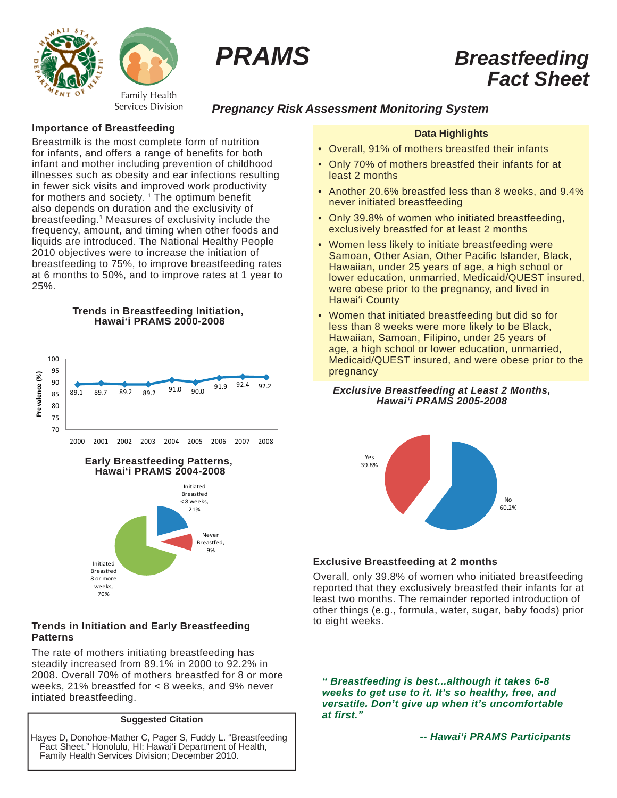



# *PRAMS Breastfeeding Fact Sheet*

# *Pregnancy Risk Assessment Monitoring System*

#### **Importance of Breastfeeding**

Breastmilk is the most complete form of nutrition for infants, and offers a range of benefits for both infant and mother including prevention of childhood illnesses such as obesity and ear infections resulting in fewer sick visits and improved work productivity for mothers and society. <sup>1</sup> The optimum benefit also depends on duration and the exclusivity of breastfeeding.1 Measures of exclusivity include the frequency, amount, and timing when other foods and liquids are introduced. The National Healthy People 2010 objectives were to increase the initiation of breastfeeding to 75%, to improve breastfeeding rates at 6 months to 50%, and to improve rates at 1 year to 25%.





#### **Early Breastfeeding Patterns, Hawai'i PRAMS 2004-2008**



## **Trends in Initiation and Early Breastfeeding Patterns**

The rate of mothers initiating breastfeeding has steadily increased from 89.1% in 2000 to 92.2% in 2008. Overall 70% of mothers breastfed for 8 or more weeks, 21% breastfed for < 8 weeks, and 9% never intiated breastfeeding.

#### **Suggested Citation**

Hayes D, Donohoe-Mather C, Pager S, Fuddy L. "Breastfeeding Fact Sheet." Honolulu, HI: Hawai'i Department of Health, Family Health Services Division; December 2010.

## **Data Highlights**

- Overall, 91% of mothers breastfed their infants
- Only 70% of mothers breastfed their infants for at least 2 months
- Another 20.6% breastfed less than 8 weeks, and 9.4% never initiated breastfeeding
- Only 39.8% of women who initiated breastfeeding. exclusively breastfed for at least 2 months
- Women less likely to initiate breastfeeding were Samoan, Other Asian, Other Pacific Islander, Black, Hawaiian, under 25 years of age, a high school or lower education, unmarried, Medicaid/QUEST insured, were obese prior to the pregnancy, and lived in Hawai'i County
- Women that initiated breastfeeding but did so for less than 8 weeks were more likely to be Black, Hawaiian, Samoan, Filipino, under 25 years of age, a high school or lower education, unmarried, Medicaid/QUEST insured, and were obese prior to the pregnancy

#### *Exclusive Breastfeeding at Least 2 Months, Hawai'i PRAMS 2005-2008*



# **Exclusive Breastfeeding at 2 months**

Overall, only 39.8% of women who initiated breastfeeding reported that they exclusively breastfed their infants for at least two months. The remainder reported introduction of other things (e.g., formula, water, sugar, baby foods) prior to eight weeks.

*" Breastfeeding is best...although it takes 6-8 weeks to get use to it. It's so healthy, free, and versatile. Don't give up when it's uncomfortable at first."*

 *-- Hawai'i PRAMS Participants*